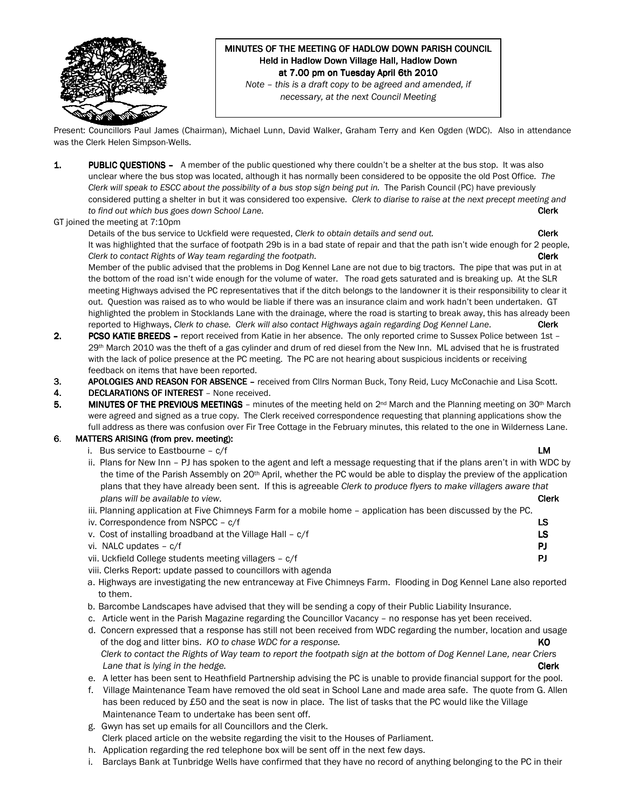

# MINUTES OF THE MEETING OF HADLOW DOWN PARISH COUNCIL Held in Hadlow Down Village Hall, Hadlow Down at 7.00 pm on Tuesday April 6th 2010

Note – this is a draft copy to be agreed and amended, if necessary, at the next Council Meeting

Present: Councillors Paul James (Chairman), Michael Lunn, David Walker, Graham Terry and Ken Ogden (WDC). Also in attendance was the Clerk Helen Simpson-Wells.

- 1. PUBLIC QUESTIONS A member of the public questioned why there couldn't be a shelter at the bus stop. It was also unclear where the bus stop was located, although it has normally been considered to be opposite the old Post Office. The Clerk will speak to ESCC about the possibility of a bus stop sign being put in. The Parish Council (PC) have previously considered putting a shelter in but it was considered too expensive. Clerk to diarise to raise at the next precept meeting and to find out which bus goes down School Lane. Clerk to the state of the state of the clerk clerk clerk clerk
- GT joined the meeting at 7:10pm

Details of the bus service to Uckfield were requested, Clerk to obtain details and send out. Clerk It was highlighted that the surface of footpath 29b is in a bad state of repair and that the path isn't wide enough for 2 people, Clerk to contact Rights of Way team regarding the footpath. Clerk contact the contact Rights of Way team regarding the footpath.

Member of the public advised that the problems in Dog Kennel Lane are not due to big tractors. The pipe that was put in at the bottom of the road isn't wide enough for the volume of water. The road gets saturated and is breaking up. At the SLR meeting Highways advised the PC representatives that if the ditch belongs to the landowner it is their responsibility to clear it out. Question was raised as to who would be liable if there was an insurance claim and work hadn't been undertaken. GT highlighted the problem in Stocklands Lane with the drainage, where the road is starting to break away, this has already been reported to Highways, Clerk to chase. Clerk will also contact Highways again regarding Dog Kennel Lane. Clerk

- 2. PCSO KATIE BREEDS report received from Katie in her absence. The only reported crime to Sussex Police between 1st 29<sup>th</sup> March 2010 was the theft of a gas cylinder and drum of red diesel from the New Inn. ML advised that he is frustrated with the lack of police presence at the PC meeting. The PC are not hearing about suspicious incidents or receiving feedback on items that have been reported.
- 3. APOLOGIES AND REASON FOR ABSENCE received from Cllrs Norman Buck, Tony Reid, Lucy McConachie and Lisa Scott.
- 4. DECLARATIONS OF INTEREST None received.
- 5. MINUTES OF THE PREVIOUS MEETINGS minutes of the meeting held on  $2^{nd}$  March and the Planning meeting on 30<sup>th</sup> March were agreed and signed as a true copy. The Clerk received correspondence requesting that planning applications show the full address as there was confusion over Fir Tree Cottage in the February minutes, this related to the one in Wilderness Lane.

### 6. MATTERS ARISING (from prev. meeting):

i. Bus service to Eastbourne – c/f **LM** 

- ii. Plans for New Inn PJ has spoken to the agent and left a message requesting that if the plans aren't in with WDC by the time of the Parish Assembly on 20<sup>th</sup> April, whether the PC would be able to display the preview of the application plans that they have already been sent. If this is agreeable Clerk to produce flyers to make villagers aware that plans will be available to view. The contraction of the contraction of the contraction of the clerk clerk clerk
- iii. Planning application at Five Chimneys Farm for a mobile home application has been discussed by the PC.
- iv. Correspondence from NSPCC c/f LS
- v. Cost of installing broadband at the Village Hall c/f LS
- vi. NALC updates  $c/f$  PJ
- vii. Uckfield College students meeting villagers c/f PJ
- viii. Clerks Report: update passed to councillors with agenda
- a. Highways are investigating the new entranceway at Five Chimneys Farm. Flooding in Dog Kennel Lane also reported to them.
- b. Barcombe Landscapes have advised that they will be sending a copy of their Public Liability Insurance.
- c. Article went in the Parish Magazine regarding the Councillor Vacancy no response has yet been received.
- d. Concern expressed that a response has still not been received from WDC regarding the number, location and usage of the dog and litter bins. KO to chase WDC for a response. KO Clerk to contact the Rights of Way team to report the footpath sign at the bottom of Dog Kennel Lane, near Criers Lane that is lying in the hedge. The contract of the contract of the clerk clerk clerk clerk
- e. A letter has been sent to Heathfield Partnership advising the PC is unable to provide financial support for the pool.
- f. Village Maintenance Team have removed the old seat in School Lane and made area safe. The quote from G. Allen has been reduced by £50 and the seat is now in place. The list of tasks that the PC would like the Village Maintenance Team to undertake has been sent off.
- g. Gwyn has set up emails for all Councillors and the Clerk.
- Clerk placed article on the website regarding the visit to the Houses of Parliament.
- h. Application regarding the red telephone box will be sent off in the next few days.
- i. Barclays Bank at Tunbridge Wells have confirmed that they have no record of anything belonging to the PC in their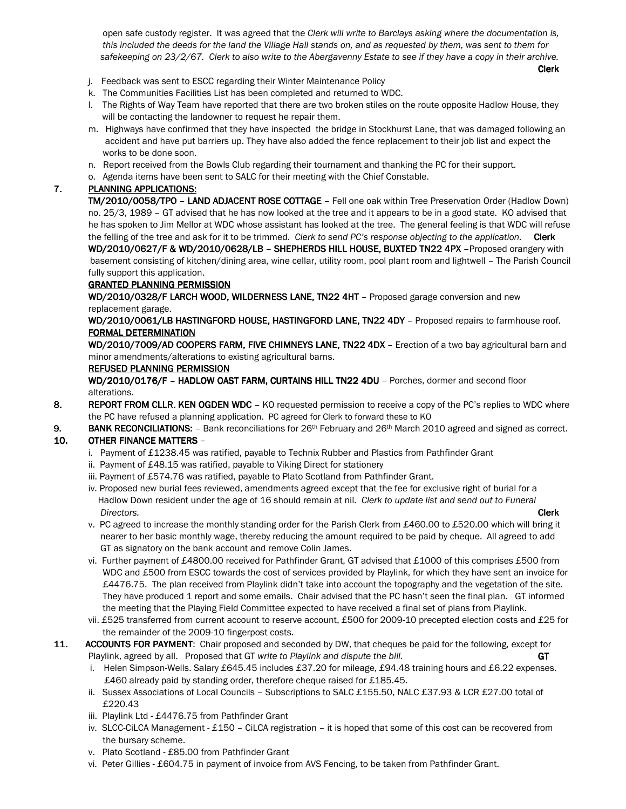open safe custody register. It was agreed that the Clerk will write to Barclays asking where the documentation is, this included the deeds for the land the Village Hall stands on, and as requested by them, was sent to them for safekeeping on 23/2/67. Clerk to also write to the Abergavenny Estate to see if they have a copy in their archive.

- and the control of the control of the control of the control of the control of the control of the control of the control of the control of the control of the control of the control of the control of the control of the cont
	- j. Feedback was sent to ESCC regarding their Winter Maintenance Policy
	- k. The Communities Facilities List has been completed and returned to WDC.
	- l. The Rights of Way Team have reported that there are two broken stiles on the route opposite Hadlow House, they will be contacting the landowner to request he repair them.
	- m. Highways have confirmed that they have inspected the bridge in Stockhurst Lane, that was damaged following an accident and have put barriers up. They have also added the fence replacement to their job list and expect the works to be done soon.
	- n. Report received from the Bowls Club regarding their tournament and thanking the PC for their support.
	- o. Agenda items have been sent to SALC for their meeting with the Chief Constable.

# 7. PLANNING APPLICATIONS:

TM/2010/0058/TPO - LAND ADJACENT ROSE COTTAGE - Fell one oak within Tree Preservation Order (Hadlow Down) no. 25/3, 1989 – GT advised that he has now looked at the tree and it appears to be in a good state. KO advised that he has spoken to Jim Mellor at WDC whose assistant has looked at the tree. The general feeling is that WDC will refuse the felling of the tree and ask for it to be trimmed. Clerk to send PC's response objecting to the application. Clerk

WD/2010/0627/F & WD/2010/0628/LB - SHEPHERDS HILL HOUSE, BUXTED TN22 4PX -Proposed orangery with basement consisting of kitchen/dining area, wine cellar, utility room, pool plant room and lightwell – The Parish Council fully support this application.

### **GRANTED PLANNING PERMISSION**

WD/2010/0328/F LARCH WOOD, WILDERNESS LANE, TN22 4HT - Proposed garage conversion and new replacement garage.

WD/2010/0061/LB HASTINGFORD HOUSE, HASTINGFORD LANE, TN22 4DY - Proposed repairs to farmhouse roof. FORMAL DETERMINATION

WD/2010/7009/AD COOPERS FARM, FIVE CHIMNEYS LANE, TN22 4DX - Erection of a two bay agricultural barn and minor amendments/alterations to existing agricultural barns.

#### REFUSED PLANNING PERMISSION

WD/2010/0176/F - HADLOW OAST FARM, CURTAINS HILL TN22 4DU - Porches, dormer and second floor alterations.

- 8. REPORT FROM CLLR. KEN OGDEN WDC KO requested permission to receive a copy of the PC's replies to WDC where the PC have refused a planning application. PC agreed for Clerk to forward these to KO
- 9. BANK RECONCILIATIONS:  $-$  Bank reconciliations for  $26<sup>th</sup>$  February and  $26<sup>th</sup>$  March 2010 agreed and signed as correct.

## 10. OTHER FINANCE MATTERS -

- i. Payment of £1238.45 was ratified, payable to Technix Rubber and Plastics from Pathfinder Grant
- ii. Payment of £48.15 was ratified, payable to Viking Direct for stationery
- iii. Payment of £574.76 was ratified, payable to Plato Scotland from Pathfinder Grant.
- iv. Proposed new burial fees reviewed, amendments agreed except that the fee for exclusive right of burial for a Hadlow Down resident under the age of 16 should remain at nil. Clerk to update list and send out to Funeral **Directors.** Clerk and the contract of the contract of the contract of the contract of the contract of the contract of the contract of the contract of the contract of the contract of the contract of the contract of the con
	- v. PC agreed to increase the monthly standing order for the Parish Clerk from £460.00 to £520.00 which will bring it nearer to her basic monthly wage, thereby reducing the amount required to be paid by cheque. All agreed to add GT as signatory on the bank account and remove Colin James.
	- vi. Further payment of £4800.00 received for Pathfinder Grant, GT advised that £1000 of this comprises £500 from WDC and £500 from ESCC towards the cost of services provided by Playlink, for which they have sent an invoice for £4476.75. The plan received from Playlink didn't take into account the topography and the vegetation of the site. They have produced 1 report and some emails. Chair advised that the PC hasn't seen the final plan. GT informed the meeting that the Playing Field Committee expected to have received a final set of plans from Playlink.
	- vii. £525 transferred from current account to reserve account, £500 for 2009-10 precepted election costs and £25 for the remainder of the 2009-10 fingerpost costs.
- 11. ACCOUNTS FOR PAYMENT: Chair proposed and seconded by DW, that cheques be paid for the following, except for Playlink, agreed by all. Proposed that GT write to Playlink and dispute the bill. GT
	- i. Helen Simpson-Wells. Salary £645.45 includes £37.20 for mileage, £94.48 training hours and £6.22 expenses. £460 already paid by standing order, therefore cheque raised for £185.45.
	- ii. Sussex Associations of Local Councils Subscriptions to SALC £155.50, NALC £37.93 & LCR £27.00 total of £220.43
	- iii. Playlink Ltd £4476.75 from Pathfinder Grant
	- iv. SLCC-CiLCA Management £150 CiLCA registration it is hoped that some of this cost can be recovered from the bursary scheme.
	- v. Plato Scotland £85.00 from Pathfinder Grant
	- vi. Peter Gillies £604.75 in payment of invoice from AVS Fencing, to be taken from Pathfinder Grant.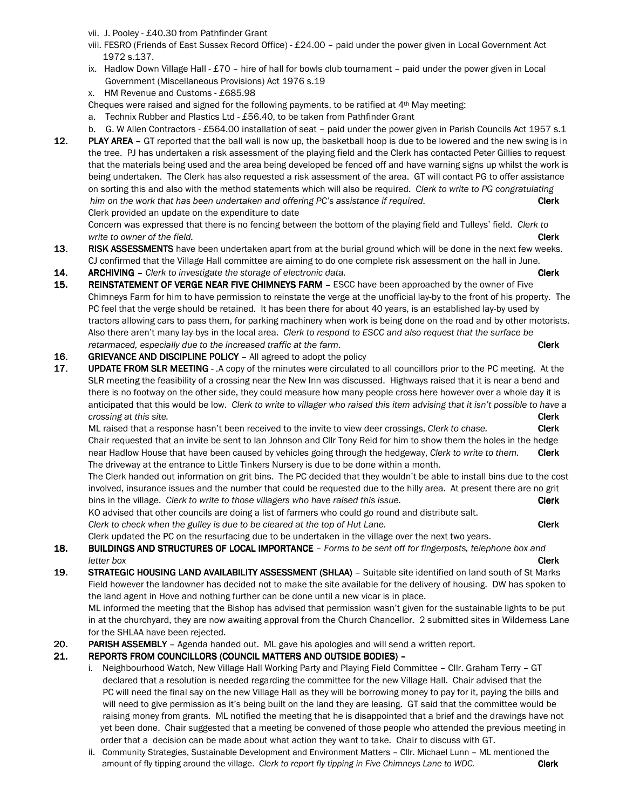vii. J. Pooley - £40.30 from Pathfinder Grant

- viii. FESRO (Friends of East Sussex Record Office) £24.00 paid under the power given in Local Government Act 1972 s.137.
- ix. Hadlow Down Village Hall £70 hire of hall for bowls club tournament paid under the power given in Local Government (Miscellaneous Provisions) Act 1976 s.19
- x. HM Revenue and Customs £685.98

Cheques were raised and signed for the following payments, to be ratified at  $4<sup>th</sup>$  May meeting:

- a. Technix Rubber and Plastics Ltd £56.40, to be taken from Pathfinder Grant
- b. G. W Allen Contractors £564.00 installation of seat paid under the power given in Parish Councils Act 1957 s.1 12. PLAY AREA - GT reported that the ball wall is now up, the basketball hoop is due to be lowered and the new swing is in the tree. PJ has undertaken a risk assessment of the playing field and the Clerk has contacted Peter Gillies to request that the materials being used and the area being developed be fenced off and have warning signs up whilst the work is being undertaken. The Clerk has also requested a risk assessment of the area. GT will contact PG to offer assistance on sorting this and also with the method statements which will also be required. Clerk to write to PG congratulating him on the work that has been undertaken and offering PC's assistance if required. Clerk Clerk provided an update on the expenditure to date

 Concern was expressed that there is no fencing between the bottom of the playing field and Tulleys' field. Clerk to write to owner of the field. Clerk and the field of the field of the field of the field of the field of the field of the field of the field of the field of the field of the field of the field of the field of the field of t

- 13. RISK ASSESSMENTS have been undertaken apart from at the burial ground which will be done in the next few weeks. CJ confirmed that the Village Hall committee are aiming to do one complete risk assessment on the hall in June.
- 14. ARCHIVING Clerk to investigate the storage of electronic data. Clerk Clerk Clerk
- 15. REINSTATEMENT OF VERGE NEAR FIVE CHIMNEYS FARM ESCC have been approached by the owner of Five Chimneys Farm for him to have permission to reinstate the verge at the unofficial lay-by to the front of his property. The PC feel that the verge should be retained. It has been there for about 40 years, is an established lay-by used by tractors allowing cars to pass them, for parking machinery when work is being done on the road and by other motorists. Also there aren't many lay-bys in the local area. Clerk to respond to ESCC and also request that the surface be retarmaced, especially due to the increased traffic at the farm. The contraction of the clerk
- 16. GRIEVANCE AND DISCIPLINE POLICY All agreed to adopt the policy
- 17. UPDATE FROM SLR MEETING .A copy of the minutes were circulated to all councillors prior to the PC meeting. At the SLR meeting the feasibility of a crossing near the New Inn was discussed. Highways raised that it is near a bend and there is no footway on the other side, they could measure how many people cross here however over a whole day it is anticipated that this would be low. Clerk to write to villager who raised this item advising that it isn't possible to have a crossing at this site. Clerk and the contract of the contract of the contract of the clerk contract of the clerk

ML raised that a response hasn't been received to the invite to view deer crossings, Clerk to chase. Clerk Chair requested that an invite be sent to Ian Johnson and Cllr Tony Reid for him to show them the holes in the hedge near Hadlow House that have been caused by vehicles going through the hedgeway, Clerk to write to them. Clerk The driveway at the entrance to Little Tinkers Nursery is due to be done within a month.

 The Clerk handed out information on grit bins. The PC decided that they wouldn't be able to install bins due to the cost involved, insurance issues and the number that could be requested due to the hilly area. At present there are no grit bins in the village. Clerk to write to those villagers who have raised this issue. Clerk

 KO advised that other councils are doing a list of farmers who could go round and distribute salt. Clerk to check when the gulley is due to be cleared at the top of Hut Lane.

Clerk updated the PC on the resurfacing due to be undertaken in the village over the next two years.

18. BUILDINGS AND STRUCTURES OF LOCAL IMPORTANCE - Forms to be sent off for fingerposts, telephone box and letter box **Clerk** with the control of the control of the control of the control of the control of the control of the control of the control of the control of the control of the control of the control of the control of the

19. STRATEGIC HOUSING LAND AVAILABILITY ASSESSMENT (SHLAA) - Suitable site identified on land south of St Marks Field however the landowner has decided not to make the site available for the delivery of housing. DW has spoken to the land agent in Hove and nothing further can be done until a new vicar is in place. ML informed the meeting that the Bishop has advised that permission wasn't given for the sustainable lights to be put

 in at the churchyard, they are now awaiting approval from the Church Chancellor. 2 submitted sites in Wilderness Lane for the SHLAA have been rejected.

20. PARISH ASSEMBLY – Agenda handed out. ML gave his apologies and will send a written report.

## 21. REPORTS FROM COUNCILLORS (COUNCIL MATTERS AND OUTSIDE BODIES) -

- i. Neighbourhood Watch, New Village Hall Working Party and Playing Field Committee Cllr. Graham Terry GT declared that a resolution is needed regarding the committee for the new Village Hall. Chair advised that the PC will need the final say on the new Village Hall as they will be borrowing money to pay for it, paying the bills and will need to give permission as it's being built on the land they are leasing. GT said that the committee would be raising money from grants. ML notified the meeting that he is disappointed that a brief and the drawings have not yet been done. Chair suggested that a meeting be convened of those people who attended the previous meeting in order that a decision can be made about what action they want to take. Chair to discuss with GT.
- ii. Community Strategies, Sustainable Development and Environment Matters Cllr. Michael Lunn ML mentioned the amount of fly tipping around the village. Clerk to report fly tipping in Five Chimneys Lane to WDC. Clerk